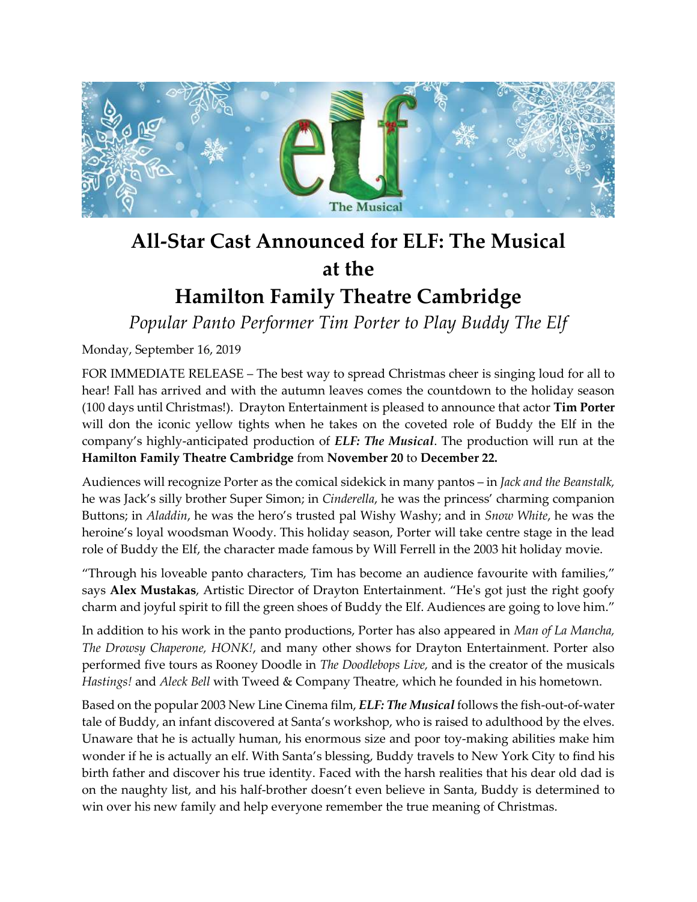

## **All-Star Cast Announced for ELF: The Musical at the**

## **Hamilton Family Theatre Cambridge**

*Popular Panto Performer Tim Porter to Play Buddy The Elf*

Monday, September 16, 2019

FOR IMMEDIATE RELEASE – The best way to spread Christmas cheer is singing loud for all to hear! Fall has arrived and with the autumn leaves comes the countdown to the holiday season (100 days until Christmas!). Drayton Entertainment is pleased to announce that actor **Tim Porter** will don the iconic yellow tights when he takes on the coveted role of Buddy the Elf in the company's highly-anticipated production of *ELF: The Musical*. The production will run at the **Hamilton Family Theatre Cambridge** from **November 20** to **December 22.**

Audiences will recognize Porter as the comical sidekick in many pantos – in *Jack and the Beanstalk,* he was Jack's silly brother Super Simon; in *Cinderella*, he was the princess' charming companion Buttons; in *Aladdin*, he was the hero's trusted pal Wishy Washy; and in *Snow White*, he was the heroine's loyal woodsman Woody. This holiday season, Porter will take centre stage in the lead role of Buddy the Elf, the character made famous by Will Ferrell in the 2003 hit holiday movie.

"Through his loveable panto characters, Tim has become an audience favourite with families," says **Alex Mustakas**, Artistic Director of Drayton Entertainment. "He's got just the right goofy charm and joyful spirit to fill the green shoes of Buddy the Elf. Audiences are going to love him."

In addition to his work in the panto productions, Porter has also appeared in *Man of La Mancha, The Drowsy Chaperone, HONK!*, and many other shows for Drayton Entertainment. Porter also performed five tours as Rooney Doodle in *The Doodlebops Live,* and is the creator of the musicals *Hastings!* and *Aleck Bell* with Tweed & Company Theatre, which he founded in his hometown.

Based on the popular 2003 New Line Cinema film, *ELF: The Musical* follows the fish-out-of-water tale of Buddy, an infant discovered at Santa's workshop, who is raised to adulthood by the elves. Unaware that he is actually human, his enormous size and poor toy-making abilities make him wonder if he is actually an elf. With Santa's blessing, Buddy travels to New York City to find his birth father and discover his true identity. Faced with the harsh realities that his dear old dad is on the naughty list, and his half-brother doesn't even believe in Santa, Buddy is determined to win over his new family and help everyone remember the true meaning of Christmas.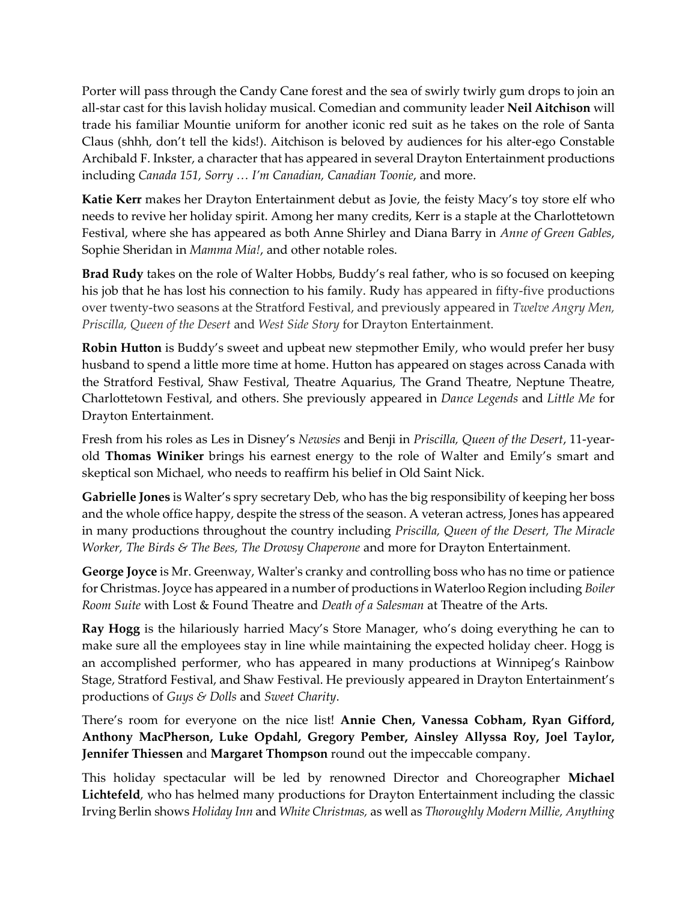Porter will pass through the Candy Cane forest and the sea of swirly twirly gum drops to join an all-star cast for this lavish holiday musical. Comedian and community leader **Neil Aitchison** will trade his familiar Mountie uniform for another iconic red suit as he takes on the role of Santa Claus (shhh, don't tell the kids!). Aitchison is beloved by audiences for his alter-ego Constable Archibald F. Inkster, a character that has appeared in several Drayton Entertainment productions including *Canada 151, Sorry … I'm Canadian, Canadian Toonie*, and more.

**Katie Kerr** makes her Drayton Entertainment debut as Jovie, the feisty Macy's toy store elf who needs to revive her holiday spirit. Among her many credits, Kerr is a staple at the Charlottetown Festival, where she has appeared as both Anne Shirley and Diana Barry in *Anne of Green Gables*, Sophie Sheridan in *Mamma Mia!*, and other notable roles.

**Brad Rudy** takes on the role of Walter Hobbs, Buddy's real father, who is so focused on keeping his job that he has lost his connection to his family. Rudy has appeared in fifty-five productions over twenty-two seasons at the Stratford Festival, and previously appeared in *Twelve Angry Men, Priscilla, Queen of the Desert* and *West Side Story* for Drayton Entertainment.

**Robin Hutton** is Buddy's sweet and upbeat new stepmother Emily, who would prefer her busy husband to spend a little more time at home. Hutton has appeared on stages across Canada with the Stratford Festival, Shaw Festival, Theatre Aquarius, The Grand Theatre, Neptune Theatre, Charlottetown Festival, and others. She previously appeared in *Dance Legends* and *Little Me* for Drayton Entertainment.

Fresh from his roles as Les in Disney's *Newsies* and Benji in *Priscilla, Queen of the Desert*, 11-yearold **Thomas Winiker** brings his earnest energy to the role of Walter and Emily's smart and skeptical son Michael, who needs to reaffirm his belief in Old Saint Nick.

**Gabrielle Jones** is Walter's spry secretary Deb, who has the big responsibility of keeping her boss and the whole office happy, despite the stress of the season. A veteran actress, Jones has appeared in many productions throughout the country including *Priscilla, Queen of the Desert, The Miracle Worker, The Birds & The Bees, The Drowsy Chaperone* and more for Drayton Entertainment.

**George Joyce** is Mr. Greenway, Walter's cranky and controlling boss who has no time or patience for Christmas. Joyce has appeared in a number of productions in Waterloo Region including *Boiler Room Suite* with Lost & Found Theatre and *Death of a Salesman* at Theatre of the Arts.

**Ray Hogg** is the hilariously harried Macy's Store Manager, who's doing everything he can to make sure all the employees stay in line while maintaining the expected holiday cheer. Hogg is an accomplished performer, who has appeared in many productions at Winnipeg's Rainbow Stage, Stratford Festival, and Shaw Festival. He previously appeared in Drayton Entertainment's productions of *Guys & Dolls* and *Sweet Charity*.

There's room for everyone on the nice list! **Annie Chen, Vanessa Cobham, Ryan Gifford, Anthony MacPherson, Luke Opdahl, Gregory Pember, Ainsley Allyssa Roy, Joel Taylor, Jennifer Thiessen** and **Margaret Thompson** round out the impeccable company.

This holiday spectacular will be led by renowned Director and Choreographer **Michael Lichtefeld**, who has helmed many productions for Drayton Entertainment including the classic Irving Berlin shows *Holiday Inn* and *White Christmas,* as well as *Thoroughly Modern Millie, Anything*